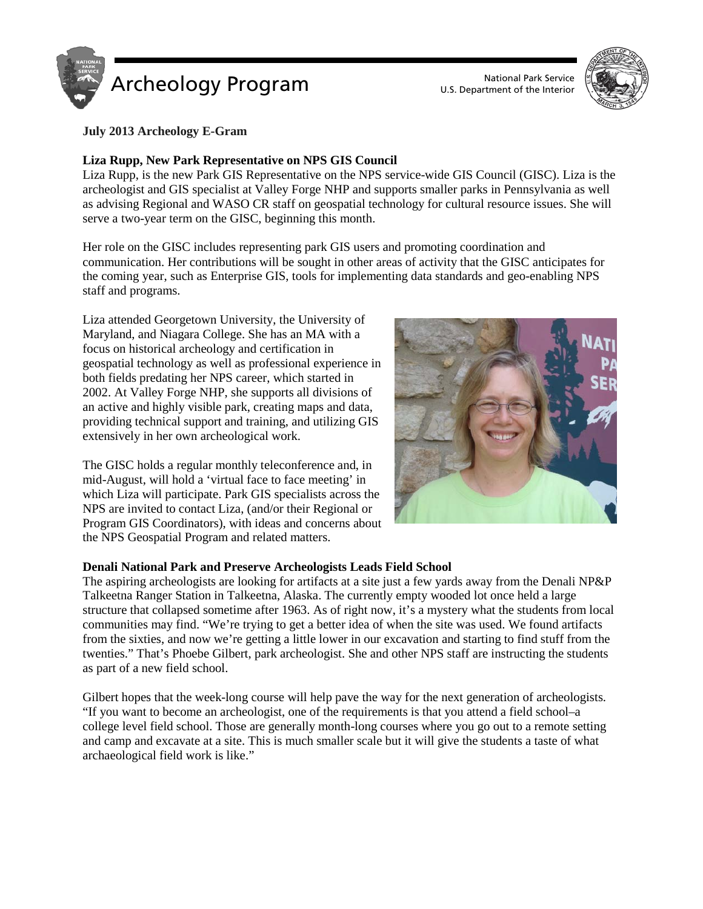

U.S. Department of the Interior



### **July 2013 Archeology E-Gram**

### **Liza Rupp, New Park Representative on NPS GIS Council**

Liza Rupp, is the new Park GIS Representative on the NPS service-wide GIS Council (GISC). Liza is the archeologist and GIS specialist at Valley Forge NHP and supports smaller parks in Pennsylvania as well as advising Regional and WASO CR staff on geospatial technology for cultural resource issues. She will serve a two-year term on the GISC, beginning this month.

Her role on the GISC includes representing park GIS users and promoting coordination and communication. Her contributions will be sought in other areas of activity that the GISC anticipates for the coming year, such as Enterprise GIS, tools for implementing data standards and geo-enabling NPS staff and programs.

Liza attended Georgetown University, the University of Maryland, and Niagara College. She has an MA with a focus on historical archeology and certification in geospatial technology as well as professional experience in both fields predating her NPS career, which started in 2002. At Valley Forge NHP, she supports all divisions of an active and highly visible park, creating maps and data, providing technical support and training, and utilizing GIS extensively in her own archeological work.

The GISC holds a regular monthly teleconference and, in mid-August, will hold a 'virtual face to face meeting' in which Liza will participate. Park GIS specialists across the NPS are invited to contact Liza, (and/or their Regional or Program GIS Coordinators), with ideas and concerns about the NPS Geospatial Program and related matters.



#### **Denali National Park and Preserve Archeologists Leads Field School**

The aspiring archeologists are looking for artifacts at a site just a few yards away from the Denali NP&P Talkeetna Ranger Station in Talkeetna, Alaska. The currently empty wooded lot once held a large structure that collapsed sometime after 1963. As of right now, it's a mystery what the students from local communities may find. "We're trying to get a better idea of when the site was used. We found artifacts from the sixties, and now we're getting a little lower in our excavation and starting to find stuff from the twenties." That's Phoebe Gilbert, park archeologist. She and other NPS staff are instructing the students as part of a new field school.

Gilbert hopes that the week-long course will help pave the way for the next generation of archeologists. "If you want to become an archeologist, one of the requirements is that you attend a field school–a college level field school. Those are generally month-long courses where you go out to a remote setting and camp and excavate at a site. This is much smaller scale but it will give the students a taste of what archaeological field work is like."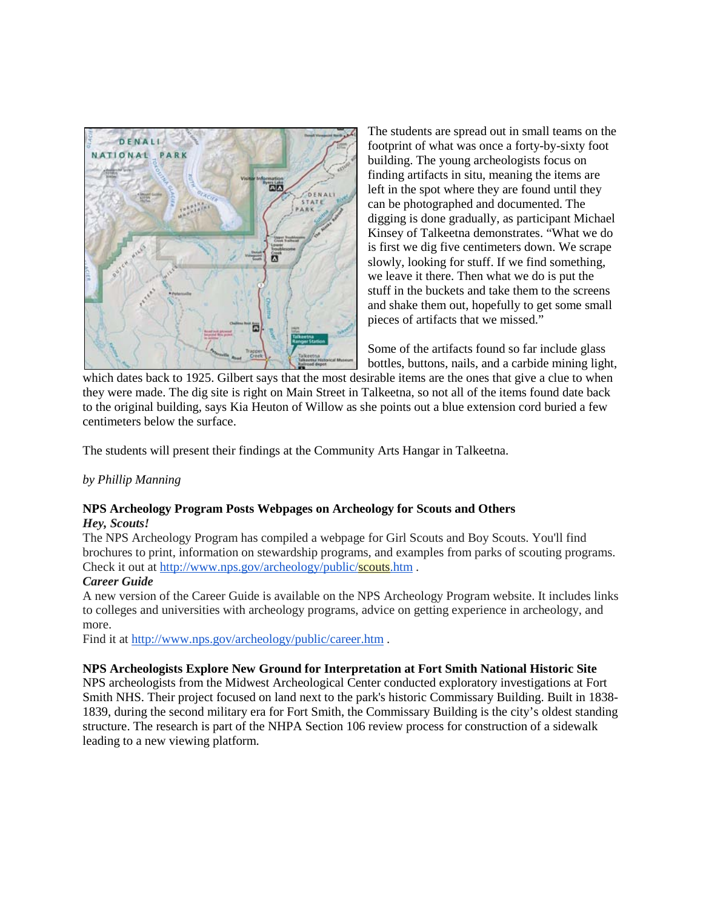

The students are spread out in small teams on the footprint of what was once a forty-by-sixty foot building. The young archeologists focus on finding artifacts in situ, meaning the items are left in the spot where they are found until they can be photographed and documented. The digging is done gradually, as participant Michael Kinsey of Talkeetna demonstrates. "What we do is first we dig five centimeters down. We scrape slowly, looking for stuff. If we find something, we leave it there. Then what we do is put the stuff in the buckets and take them to the screens and shake them out, hopefully to get some small pieces of artifacts that we missed."

Some of the artifacts found so far include glass bottles, buttons, nails, and a carbide mining light,

which dates back to 1925. Gilbert says that the most desirable items are the ones that give a clue to when they were made. The dig site is right on Main Street in Talkeetna, so not all of the items found date back to the original building, says Kia Heuton of Willow as she points out a blue extension cord buried a few centimeters below the surface.

The students will present their findings at the Community Arts Hangar in Talkeetna.

### *by Phillip Manning*

#### **NPS Archeology Program Posts Webpages on Archeology for Scouts and Others** *Hey, Scouts!*

The NPS Archeology Program has compiled a webpage for Girl Scouts and Boy Scouts. You'll find brochures to print, information on stewardship programs, and examples from parks of scouting programs. Check it out at <http://www.nps.gov/archeology/public/scouts.htm> .

### *Career Guide*

A new version of the Career Guide is available on the NPS Archeology Program website. It includes links to colleges and universities with archeology programs, advice on getting experience in archeology, and more.

Find it at <http://www.nps.gov/archeology/public/career.htm>.

### **NPS Archeologists Explore New Ground for Interpretation at Fort Smith National Historic Site**

NPS archeologists from the Midwest Archeological Center conducted exploratory investigations at Fort Smith NHS. Their project focused on land next to the park's historic Commissary Building. Built in 1838- 1839, during the second military era for Fort Smith, the Commissary Building is the city's oldest standing structure. The research is part of the NHPA Section 106 review process for construction of a sidewalk leading to a new viewing platform.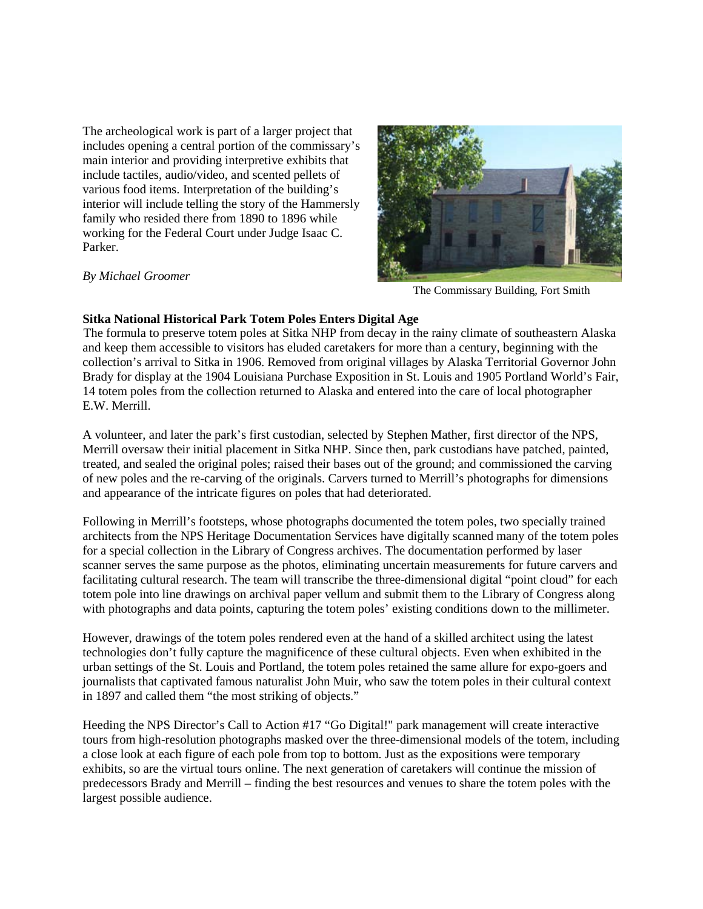The archeological work is part of a larger project that includes opening a central portion of the commissary's main interior and providing interpretive exhibits that include tactiles, audio/video, and scented pellets of various food items. Interpretation of the building's interior will include telling the story of the Hammersly family who resided there from 1890 to 1896 while working for the Federal Court under Judge Isaac C. Parker.



#### *By Michael Groomer*

The Commissary Building, Fort Smith

### **Sitka National Historical Park Totem Poles Enters Digital Age**

The formula to preserve totem poles at Sitka NHP from decay in the rainy climate of southeastern Alaska and keep them accessible to visitors has eluded caretakers for more than a century, beginning with the collection's arrival to Sitka in 1906. Removed from original villages by Alaska Territorial Governor John Brady for display at the 1904 Louisiana Purchase Exposition in St. Louis and 1905 Portland World's Fair, 14 totem poles from the collection returned to Alaska and entered into the care of local photographer E.W. Merrill.

A volunteer, and later the park's first custodian, selected by Stephen Mather, first director of the NPS, Merrill oversaw their initial placement in Sitka NHP. Since then, park custodians have patched, painted, treated, and sealed the original poles; raised their bases out of the ground; and commissioned the carving of new poles and the re-carving of the originals. Carvers turned to Merrill's photographs for dimensions and appearance of the intricate figures on poles that had deteriorated.

Following in Merrill's footsteps, whose photographs documented the totem poles, two specially trained architects from the NPS Heritage Documentation Services have digitally scanned many of the totem poles for a special collection in the Library of Congress archives. The documentation performed by laser scanner serves the same purpose as the photos, eliminating uncertain measurements for future carvers and facilitating cultural research. The team will transcribe the three-dimensional digital "point cloud" for each totem pole into line drawings on archival paper vellum and submit them to the Library of Congress along with photographs and data points, capturing the totem poles' existing conditions down to the millimeter.

However, drawings of the totem poles rendered even at the hand of a skilled architect using the latest technologies don't fully capture the magnificence of these cultural objects. Even when exhibited in the urban settings of the St. Louis and Portland, the totem poles retained the same allure for expo-goers and journalists that captivated famous naturalist John Muir, who saw the totem poles in their cultural context in 1897 and called them "the most striking of objects."

Heeding the NPS Director's Call to Action #17 "Go Digital!" park management will create interactive tours from high-resolution photographs masked over the three-dimensional models of the totem, including a close look at each figure of each pole from top to bottom. Just as the expositions were temporary exhibits, so are the virtual tours online. The next generation of caretakers will continue the mission of predecessors Brady and Merrill – finding the best resources and venues to share the totem poles with the largest possible audience.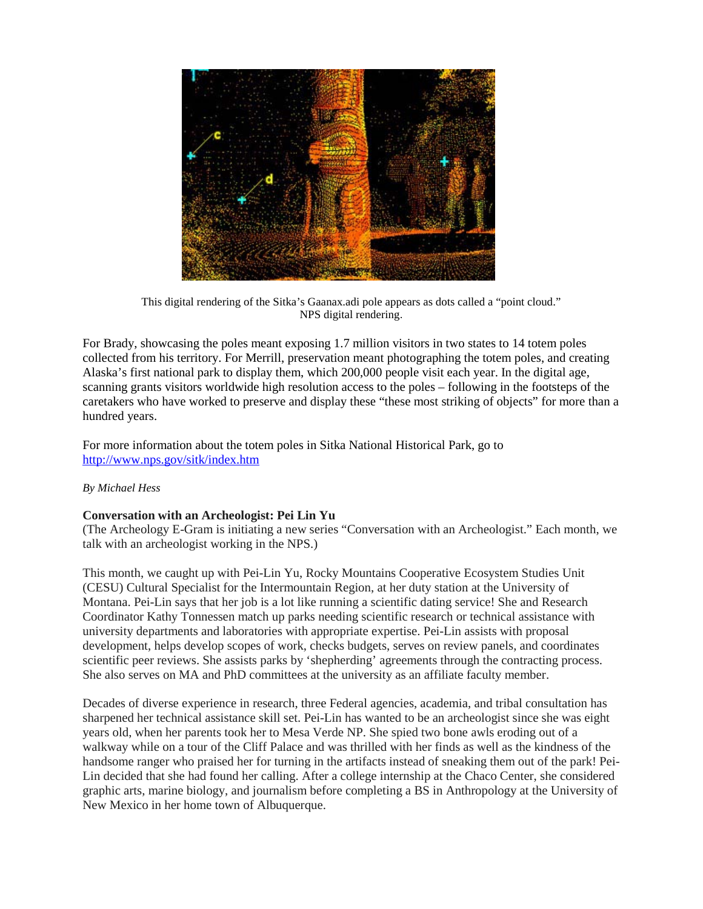

This digital rendering of the Sitka's Gaanax.adi pole appears as dots called a "point cloud." NPS digital rendering.

For Brady, showcasing the poles meant exposing 1.7 million visitors in two states to 14 totem poles collected from his territory. For Merrill, preservation meant photographing the totem poles, and creating Alaska's first national park to display them, which 200,000 people visit each year. In the digital age, scanning grants visitors worldwide high resolution access to the poles – following in the footsteps of the caretakers who have worked to preserve and display these "these most striking of objects" for more than a hundred years.

For more information about the totem poles in Sitka National Historical Park, go to <http://www.nps.gov/sitk/index.htm>

### *By Michael Hess*

### **Conversation with an Archeologist: Pei Lin Yu**

(The Archeology E-Gram is initiating a new series "Conversation with an Archeologist." Each month, we talk with an archeologist working in the NPS.)

This month, we caught up with Pei-Lin Yu, Rocky Mountains Cooperative Ecosystem Studies Unit (CESU) Cultural Specialist for the Intermountain Region, at her duty station at the University of Montana. Pei-Lin says that her job is a lot like running a scientific dating service! She and Research Coordinator Kathy Tonnessen match up parks needing scientific research or technical assistance with university departments and laboratories with appropriate expertise. Pei-Lin assists with proposal development, helps develop scopes of work, checks budgets, serves on review panels, and coordinates scientific peer reviews. She assists parks by 'shepherding' agreements through the contracting process. She also serves on MA and PhD committees at the university as an affiliate faculty member.

Decades of diverse experience in research, three Federal agencies, academia, and tribal consultation has sharpened her technical assistance skill set. Pei-Lin has wanted to be an archeologist since she was eight years old, when her parents took her to Mesa Verde NP. She spied two bone awls eroding out of a walkway while on a tour of the Cliff Palace and was thrilled with her finds as well as the kindness of the handsome ranger who praised her for turning in the artifacts instead of sneaking them out of the park! Pei-Lin decided that she had found her calling. After a college internship at the Chaco Center, she considered graphic arts, marine biology, and journalism before completing a BS in Anthropology at the University of New Mexico in her home town of Albuquerque.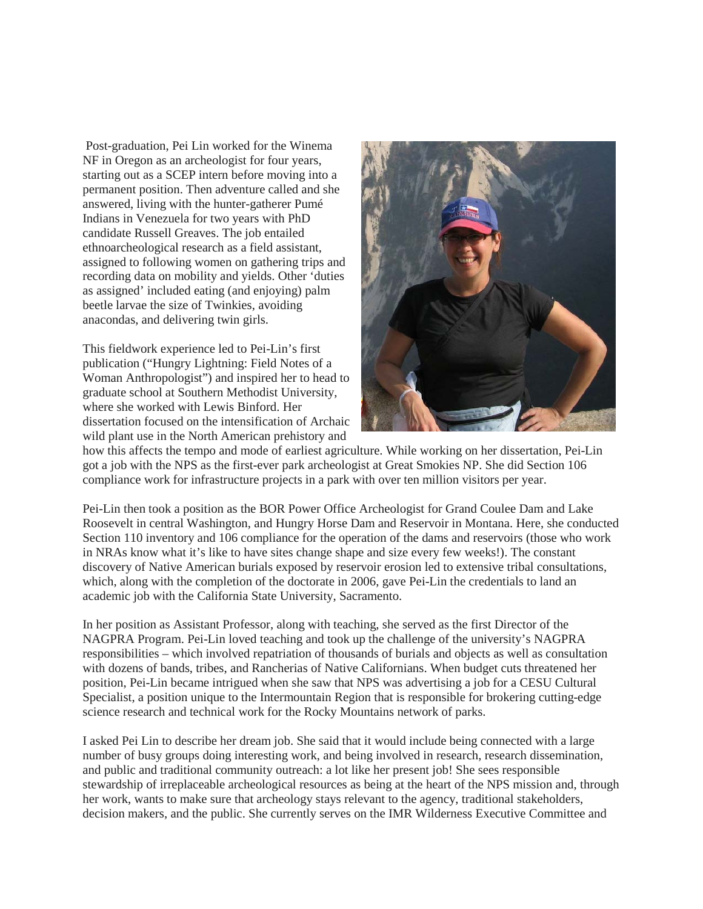Post-graduation, Pei Lin worked for the Winema NF in Oregon as an archeologist for four years, starting out as a SCEP intern before moving into a permanent position. Then adventure called and she answered, living with the hunter-gatherer Pumé Indians in Venezuela for two years with PhD candidate Russell Greaves. The job entailed ethnoarcheological research as a field assistant, assigned to following women on gathering trips and recording data on mobility and yields. Other 'duties as assigned' included eating (and enjoying) palm beetle larvae the size of Twinkies, avoiding anacondas, and delivering twin girls.

This fieldwork experience led to Pei-Lin's first publication ("Hungry Lightning: Field Notes of a Woman Anthropologist") and inspired her to head to graduate school at Southern Methodist University, where she worked with Lewis Binford. Her dissertation focused on the intensification of Archaic wild plant use in the North American prehistory and



how this affects the tempo and mode of earliest agriculture. While working on her dissertation, Pei-Lin got a job with the NPS as the first-ever park archeologist at Great Smokies NP. She did Section 106 compliance work for infrastructure projects in a park with over ten million visitors per year.

Pei-Lin then took a position as the BOR Power Office Archeologist for Grand Coulee Dam and Lake Roosevelt in central Washington, and Hungry Horse Dam and Reservoir in Montana. Here, she conducted Section 110 inventory and 106 compliance for the operation of the dams and reservoirs (those who work in NRAs know what it's like to have sites change shape and size every few weeks!). The constant discovery of Native American burials exposed by reservoir erosion led to extensive tribal consultations, which, along with the completion of the doctorate in 2006, gave Pei-Lin the credentials to land an academic job with the California State University, Sacramento.

In her position as Assistant Professor, along with teaching, she served as the first Director of the NAGPRA Program. Pei-Lin loved teaching and took up the challenge of the university's NAGPRA responsibilities – which involved repatriation of thousands of burials and objects as well as consultation with dozens of bands, tribes, and Rancherias of Native Californians. When budget cuts threatened her position, Pei-Lin became intrigued when she saw that NPS was advertising a job for a CESU Cultural Specialist, a position unique to the Intermountain Region that is responsible for brokering cutting-edge science research and technical work for the Rocky Mountains network of parks.

I asked Pei Lin to describe her dream job. She said that it would include being connected with a large number of busy groups doing interesting work, and being involved in research, research dissemination, and public and traditional community outreach: a lot like her present job! She sees responsible stewardship of irreplaceable archeological resources as being at the heart of the NPS mission and, through her work, wants to make sure that archeology stays relevant to the agency, traditional stakeholders, decision makers, and the public. She currently serves on the IMR Wilderness Executive Committee and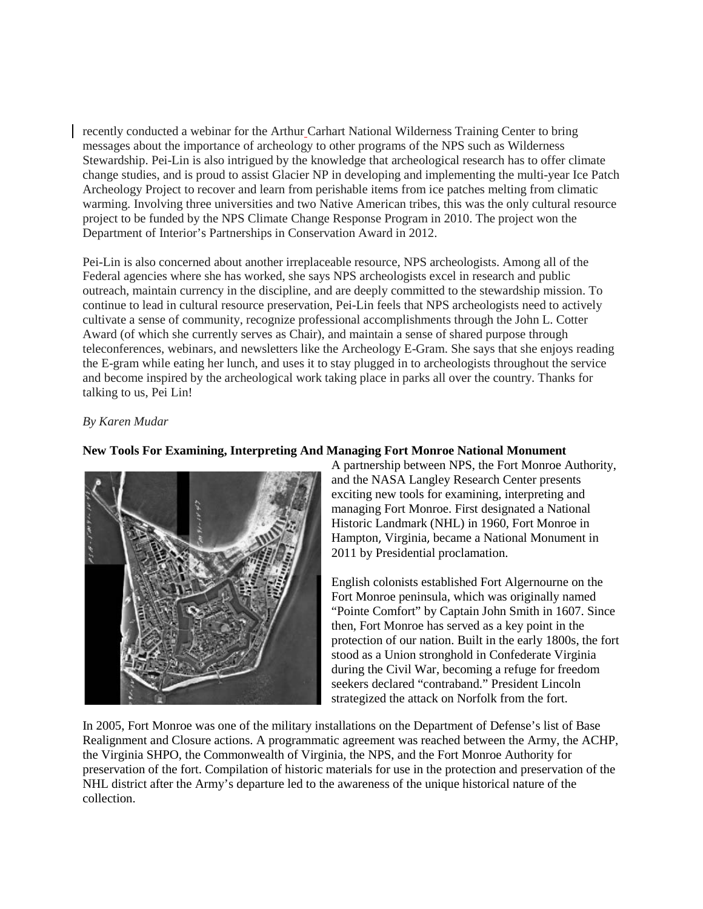recently conducted a webinar for the Arthur Carhart National Wilderness Training Center to bring messages about the importance of archeology to other programs of the NPS such as Wilderness Stewardship. Pei-Lin is also intrigued by the knowledge that archeological research has to offer climate change studies, and is proud to assist Glacier NP in developing and implementing the multi-year Ice Patch Archeology Project to recover and learn from perishable items from ice patches melting from climatic warming. Involving three universities and two Native American tribes, this was the only cultural resource project to be funded by the NPS Climate Change Response Program in 2010. The project won the Department of Interior's Partnerships in Conservation Award in 2012.

Pei-Lin is also concerned about another irreplaceable resource, NPS archeologists. Among all of the Federal agencies where she has worked, she says NPS archeologists excel in research and public outreach, maintain currency in the discipline, and are deeply committed to the stewardship mission. To continue to lead in cultural resource preservation, Pei-Lin feels that NPS archeologists need to actively cultivate a sense of community, recognize professional accomplishments through the John L. Cotter Award (of which she currently serves as Chair), and maintain a sense of shared purpose through teleconferences, webinars, and newsletters like the Archeology E-Gram. She says that she enjoys reading the E-gram while eating her lunch, and uses it to stay plugged in to archeologists throughout the service and become inspired by the archeological work taking place in parks all over the country. Thanks for talking to us, Pei Lin!

### *By Karen Mudar*



### **New Tools For Examining, Interpreting And Managing Fort Monroe National Monument**

A partnership between NPS, the Fort Monroe Authority, and the NASA Langley Research Center presents exciting new tools for examining, interpreting and managing Fort Monroe. First designated a National Historic Landmark (NHL) in 1960, Fort Monroe in Hampton, Virginia, became a National Monument in 2011 by Presidential proclamation.

English colonists established Fort Algernourne on the Fort Monroe peninsula, which was originally named "Pointe Comfort" by Captain John Smith in 1607. Since then, Fort Monroe has served as a key point in the protection of our nation. Built in the early 1800s, the fort stood as a Union stronghold in Confederate Virginia during the Civil War, becoming a refuge for freedom seekers declared "contraband." President Lincoln strategized the attack on Norfolk from the fort.

In 2005, Fort Monroe was one of the military installations on the Department of Defense's list of Base Realignment and Closure actions. A programmatic agreement was reached between the Army, the ACHP, the Virginia SHPO, the Commonwealth of Virginia, the NPS, and the Fort Monroe Authority for preservation of the fort. Compilation of historic materials for use in the protection and preservation of the NHL district after the Army's departure led to the awareness of the unique historical nature of the collection.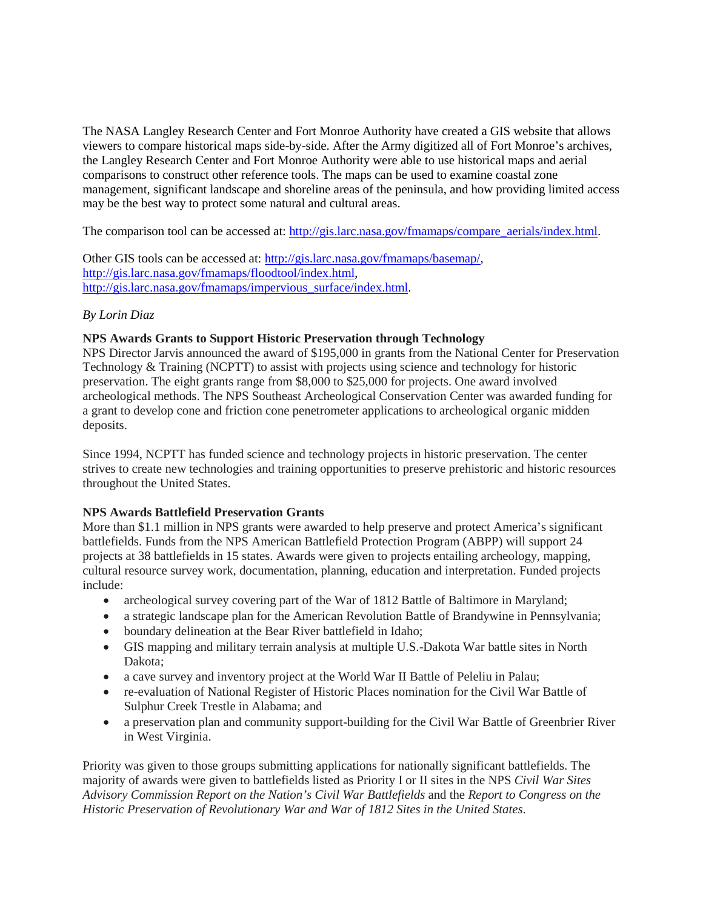The NASA Langley Research Center and Fort Monroe Authority have created a GIS website that allows viewers to compare historical maps side-by-side. After the Army digitized all of Fort Monroe's archives, the Langley Research Center and Fort Monroe Authority were able to use historical maps and aerial comparisons to construct other reference tools. The maps can be used to examine coastal zone management, significant landscape and shoreline areas of the peninsula, and how providing limited access may be the best way to protect some natural and cultural areas.

The comparison tool can be accessed at: [http://gis.larc.nasa.gov/fmamaps/compare\\_aerials/index.html.](http://gis.larc.nasa.gov/fmamaps/compare_aerials/index.html)

Other GIS tools can be accessed at: [http://gis.larc.nasa.gov/fmamaps/basemap/,](http://gis.larc.nasa.gov/fmamaps/basemap/) [http://gis.larc.nasa.gov/fmamaps/floodtool/index.html,](http://gis.larc.nasa.gov/fmamaps/floodtool/index.html) [http://gis.larc.nasa.gov/fmamaps/impervious\\_surface/index.html.](http://gis.larc.nasa.gov/fmamaps/impervious_surface/index.html)

# *By Lorin Diaz*

# **NPS Awards Grants to Support Historic Preservation through Technology**

NPS Director Jarvis announced the award of \$195,000 in grants from the National Center for Preservation Technology & Training (NCPTT) to assist with projects using science and technology for historic preservation. The eight grants range from \$8,000 to \$25,000 for projects. One award involved archeological methods. The NPS Southeast Archeological Conservation Center was awarded funding for a grant to develop cone and friction cone penetrometer applications to archeological organic midden deposits.

Since 1994, NCPTT has funded science and technology projects in historic preservation. The center strives to create new technologies and training opportunities to preserve prehistoric and historic resources throughout the United States.

### **NPS Awards Battlefield Preservation Grants**

More than \$1.1 million in NPS grants were awarded to help preserve and protect America's significant battlefields. Funds from the NPS American Battlefield Protection Program (ABPP) will support 24 projects at 38 battlefields in 15 states. Awards were given to projects entailing archeology, mapping, cultural resource survey work, documentation, planning, education and interpretation. Funded projects include:

- archeological survey covering part of the War of 1812 Battle of Baltimore in Maryland;
- a strategic landscape plan for the American Revolution Battle of Brandywine in Pennsylvania;
- boundary delineation at the Bear River battlefield in Idaho;
- GIS mapping and military terrain analysis at multiple U.S.-Dakota War battle sites in North Dakota;
- a cave survey and inventory project at the World War II Battle of Peleliu in Palau;
- re-evaluation of National Register of Historic Places nomination for the Civil War Battle of Sulphur Creek Trestle in Alabama; and
- a preservation plan and community support-building for the Civil War Battle of Greenbrier River in West Virginia.

Priority was given to those groups submitting applications for nationally significant battlefields. The majority of awards were given to battlefields listed as Priority I or II sites in the NPS *Civil War Sites Advisory Commission Report on the Nation's Civil War Battlefields* and the *Report to Congress on the Historic Preservation of Revolutionary War and War of 1812 Sites in the United States*.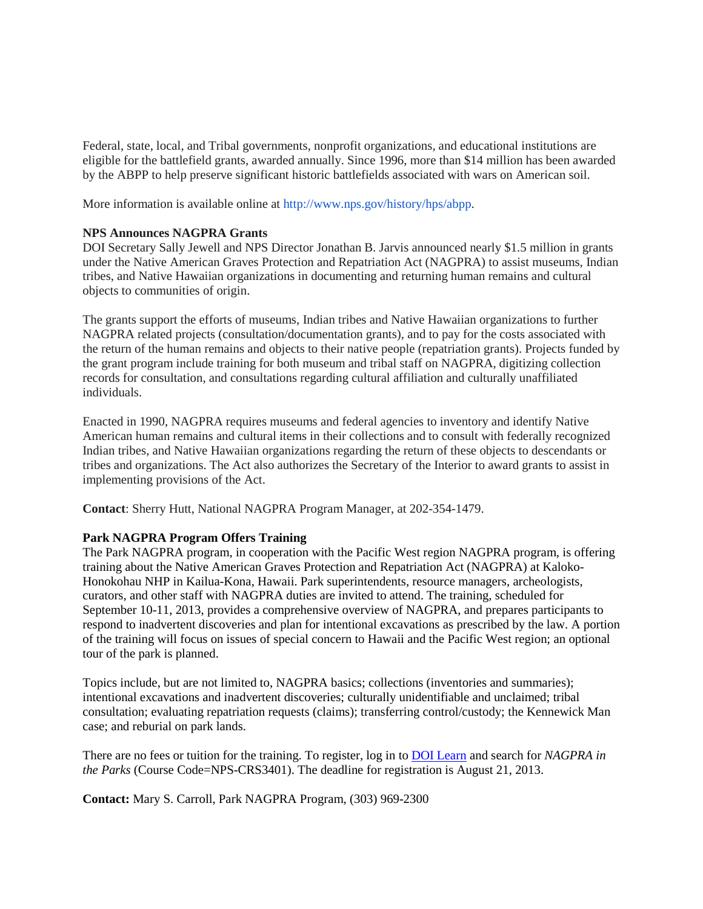Federal, state, local, and Tribal governments, nonprofit organizations, and educational institutions are eligible for the battlefield grants, awarded annually. Since 1996, more than \$14 million has been awarded by the ABPP to help preserve significant historic battlefields associated with wars on American soil.

More information is available online at [http://www.nps.gov/history/hps/abpp.](http://www.nps.gov/history/hps/abpp)

### **NPS Announces NAGPRA Grants**

DOI Secretary Sally Jewell and NPS Director Jonathan B. Jarvis announced nearly \$1.5 million in grants under the Native American Graves Protection and Repatriation Act (NAGPRA) to assist museums, Indian tribes, and Native Hawaiian organizations in documenting and returning human remains and cultural objects to communities of origin.

The grants support the efforts of museums, Indian tribes and Native Hawaiian organizations to further NAGPRA related projects (consultation/documentation grants), and to pay for the costs associated with the return of the human remains and objects to their native people (repatriation grants). Projects funded by the grant program include training for both museum and tribal staff on NAGPRA, digitizing collection records for consultation, and consultations regarding cultural affiliation and culturally unaffiliated individuals.

Enacted in 1990, NAGPRA requires museums and federal agencies to inventory and identify Native American human remains and cultural items in their collections and to consult with federally recognized Indian tribes, and Native Hawaiian organizations regarding the return of these objects to descendants or tribes and organizations. The Act also authorizes the Secretary of the Interior to award grants to assist in implementing provisions of the Act.

**Contact**: Sherry Hutt, National NAGPRA Program Manager, at 202-354-1479.

### **Park NAGPRA Program Offers Training**

The Park NAGPRA program, in cooperation with the Pacific West region NAGPRA program, is offering training about the Native American Graves Protection and Repatriation Act (NAGPRA) at Kaloko-Honokohau NHP in Kailua-Kona, Hawaii. Park superintendents, resource managers, archeologists, curators, and other staff with NAGPRA duties are invited to attend. The training, scheduled for September 10-11, 2013, provides a comprehensive overview of NAGPRA, and prepares participants to respond to inadvertent discoveries and plan for intentional excavations as prescribed by the law. A portion of the training will focus on issues of special concern to Hawaii and the Pacific West region; an optional tour of the park is planned.

Topics include, but are not limited to, NAGPRA basics; collections (inventories and summaries); intentional excavations and inadvertent discoveries; culturally unidentifiable and unclaimed; tribal consultation; evaluating repatriation requests (claims); transferring control/custody; the Kennewick Man case; and reburial on park lands.

There are no fees or tuition for the training. To register, log in to [DOI Learn](http://www.doi.gov/doilearn/index.cfm) and search for *NAGPRA in the Parks* (Course Code=NPS-CRS3401). The deadline for registration is August 21, 2013.

**Contact:** Mary S. Carroll, Park NAGPRA Program, (303) 969-2300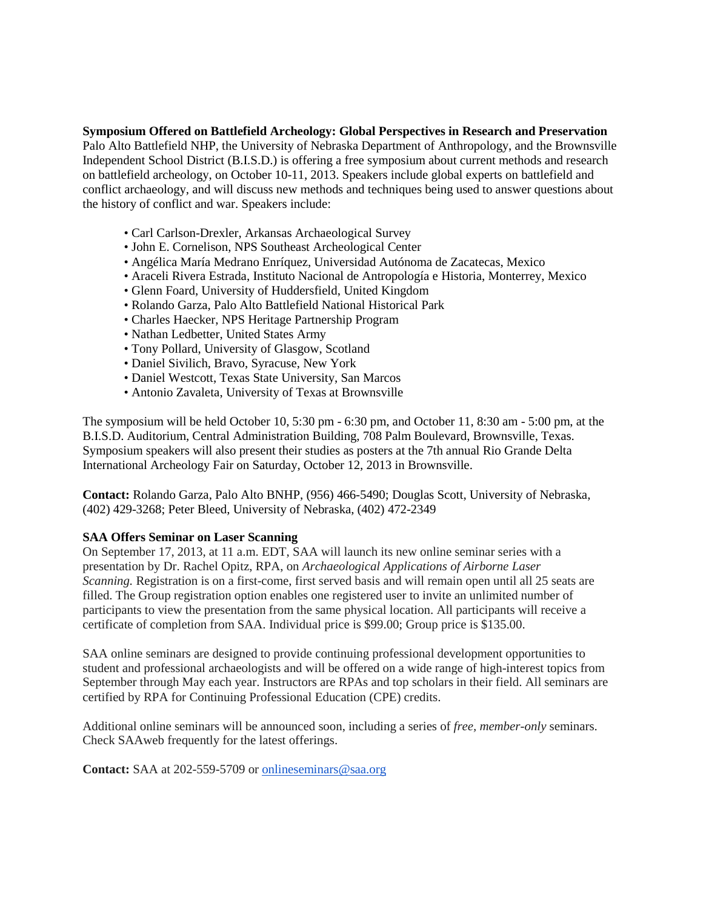**Symposium Offered on Battlefield Archeology: Global Perspectives in Research and Preservation**  Palo Alto Battlefield NHP, the University of Nebraska Department of Anthropology, and the Brownsville Independent School District (B.I.S.D.) is offering a free symposium about current methods and research on battlefield archeology, on October 10-11, 2013. Speakers include global experts on battlefield and conflict archaeology, and will discuss new methods and techniques being used to answer questions about the history of conflict and war. Speakers include:

- Carl Carlson-Drexler, Arkansas Archaeological Survey
- John E. Cornelison, NPS Southeast Archeological Center
- Angélica María Medrano Enríquez, Universidad Autónoma de Zacatecas, Mexico
- Araceli Rivera Estrada, Instituto Nacional de Antropología e Historia, Monterrey, Mexico
- Glenn Foard, University of Huddersfield, United Kingdom
- Rolando Garza, Palo Alto Battlefield National Historical Park
- Charles Haecker, NPS Heritage Partnership Program
- Nathan Ledbetter, United States Army
- Tony Pollard, University of Glasgow, Scotland
- Daniel Sivilich, Bravo, Syracuse, New York
- Daniel Westcott, Texas State University, San Marcos
- Antonio Zavaleta, University of Texas at Brownsville

The symposium will be held October 10, 5:30 pm - 6:30 pm, and October 11, 8:30 am - 5:00 pm, at the B.I.S.D. Auditorium, Central Administration Building, 708 Palm Boulevard, Brownsville, Texas. Symposium speakers will also present their studies as posters at the 7th annual Rio Grande Delta International Archeology Fair on Saturday, October 12, 2013 in Brownsville.

**Contact:** Rolando Garza, Palo Alto BNHP, (956) 466-5490; Douglas Scott, University of Nebraska, (402) 429-3268; Peter Bleed, University of Nebraska, (402) 472-2349

# **SAA Offers Seminar on Laser Scanning**

On September 17, 2013, at 11 a.m. EDT, SAA will launch its new online seminar series with a presentation by Dr. Rachel Opitz, RPA, on *Archaeological Applications of Airborne Laser Scanning.* Registration is on a first-come, first served basis and will remain open until all 25 seats are filled. The Group registration option enables one registered user to invite an unlimited number of participants to view the presentation from the same physical location. All participants will receive a certificate of completion from SAA. Individual price is \$99.00; Group price is \$135.00.

SAA online seminars are designed to provide continuing professional development opportunities to student and professional archaeologists and will be offered on a wide range of high-interest topics from September through May each year. Instructors are RPAs and top scholars in their field. All seminars are certified by RPA for Continuing Professional Education (CPE) credits.

Additional online seminars will be announced soon, including a series of *free, member-only* seminars. Check SAAweb frequently for the latest offerings.

**Contact:** SAA at 202-559-5709 or [onlineseminars@saa.org](mailto:onlineseminars@saa.org)